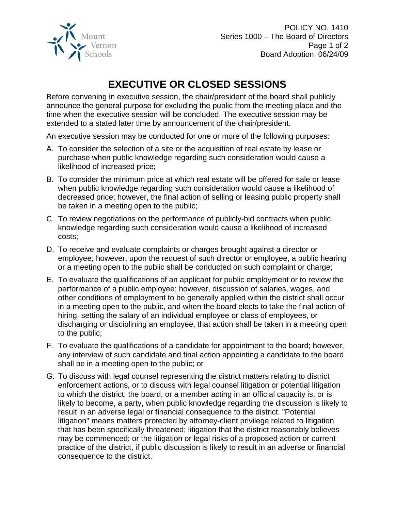

POLICY NO. 1410 Series 1000 – The Board of Directors Page 1 of 2 Board Adoption: 06/24/09

## **EXECUTIVE OR CLOSED SESSIONS**

Before convening in executive session, the chair/president of the board shall publicly announce the general purpose for excluding the public from the meeting place and the time when the executive session will be concluded. The executive session may be extended to a stated later time by announcement of the chair/president.

An executive session may be conducted for one or more of the following purposes:

- A. To consider the selection of a site or the acquisition of real estate by lease or purchase when public knowledge regarding such consideration would cause a likelihood of increased price;
- B. To consider the minimum price at which real estate will be offered for sale or lease when public knowledge regarding such consideration would cause a likelihood of decreased price; however, the final action of selling or leasing public property shall be taken in a meeting open to the public;
- C. To review negotiations on the performance of publicly-bid contracts when public knowledge regarding such consideration would cause a likelihood of increased costs;
- D. To receive and evaluate complaints or charges brought against a director or employee; however, upon the request of such director or employee, a public hearing or a meeting open to the public shall be conducted on such complaint or charge;
- E. To evaluate the qualifications of an applicant for public employment or to review the performance of a public employee; however, discussion of salaries, wages, and other conditions of employment to be generally applied within the district shall occur in a meeting open to the public, and when the board elects to take the final action of hiring, setting the salary of an individual employee or class of employees, or discharging or disciplining an employee, that action shall be taken in a meeting open to the public;
- F. To evaluate the qualifications of a candidate for appointment to the board; however, any interview of such candidate and final action appointing a candidate to the board shall be in a meeting open to the public; or
- G. To discuss with legal counsel representing the district matters relating to district enforcement actions, or to discuss with legal counsel litigation or potential litigation to which the district, the board, or a member acting in an official capacity is, or is likely to become, a party, when public knowledge regarding the discussion is likely to result in an adverse legal or financial consequence to the district. "Potential litigation" means matters protected by attorney-client privilege related to litigation that has been specifically threatened; litigation that the district reasonably believes may be commenced; or the litigation or legal risks of a proposed action or current practice of the district, if public discussion is likely to result in an adverse or financial consequence to the district.